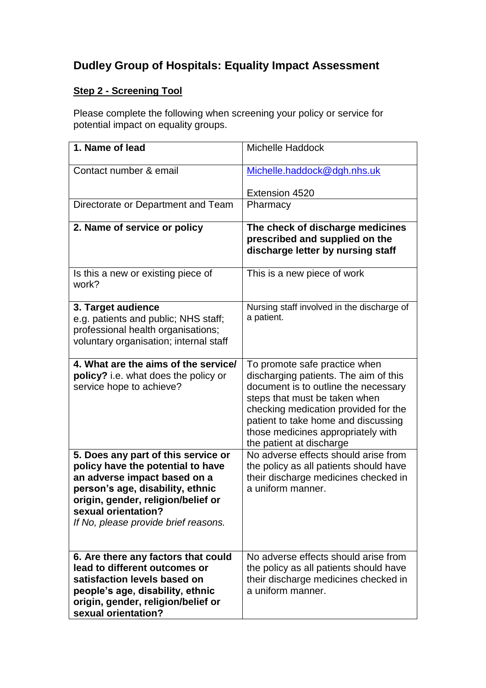# **Dudley Group of Hospitals: Equality Impact Assessment**

# **Step 2 - Screening Tool**

Please complete the following when screening your policy or service for potential impact on equality groups.

| 1. Name of lead                                                                                                                                                                                                                                   | <b>Michelle Haddock</b>                                                                                                                                                                                                                                                                          |
|---------------------------------------------------------------------------------------------------------------------------------------------------------------------------------------------------------------------------------------------------|--------------------------------------------------------------------------------------------------------------------------------------------------------------------------------------------------------------------------------------------------------------------------------------------------|
| Contact number & email                                                                                                                                                                                                                            | Michelle.haddock@dgh.nhs.uk                                                                                                                                                                                                                                                                      |
|                                                                                                                                                                                                                                                   | Extension 4520                                                                                                                                                                                                                                                                                   |
| Directorate or Department and Team                                                                                                                                                                                                                | Pharmacy                                                                                                                                                                                                                                                                                         |
| 2. Name of service or policy                                                                                                                                                                                                                      | The check of discharge medicines<br>prescribed and supplied on the<br>discharge letter by nursing staff                                                                                                                                                                                          |
| Is this a new or existing piece of<br>work?                                                                                                                                                                                                       | This is a new piece of work                                                                                                                                                                                                                                                                      |
| 3. Target audience<br>e.g. patients and public; NHS staff;<br>professional health organisations;<br>voluntary organisation; internal staff                                                                                                        | Nursing staff involved in the discharge of<br>a patient.                                                                                                                                                                                                                                         |
| 4. What are the aims of the service/<br><b>policy?</b> i.e. what does the policy or<br>service hope to achieve?                                                                                                                                   | To promote safe practice when<br>discharging patients. The aim of this<br>document is to outline the necessary<br>steps that must be taken when<br>checking medication provided for the<br>patient to take home and discussing<br>those medicines appropriately with<br>the patient at discharge |
| 5. Does any part of this service or<br>policy have the potential to have<br>an adverse impact based on a<br>person's age, disability, ethnic<br>origin, gender, religion/belief or<br>sexual orientation?<br>If No, please provide brief reasons. | No adverse effects should arise from<br>the policy as all patients should have<br>their discharge medicines checked in<br>a uniform manner.                                                                                                                                                      |
| 6. Are there any factors that could<br>lead to different outcomes or<br>satisfaction levels based on<br>people's age, disability, ethnic<br>origin, gender, religion/belief or<br>sexual orientation?                                             | No adverse effects should arise from<br>the policy as all patients should have<br>their discharge medicines checked in<br>a uniform manner.                                                                                                                                                      |